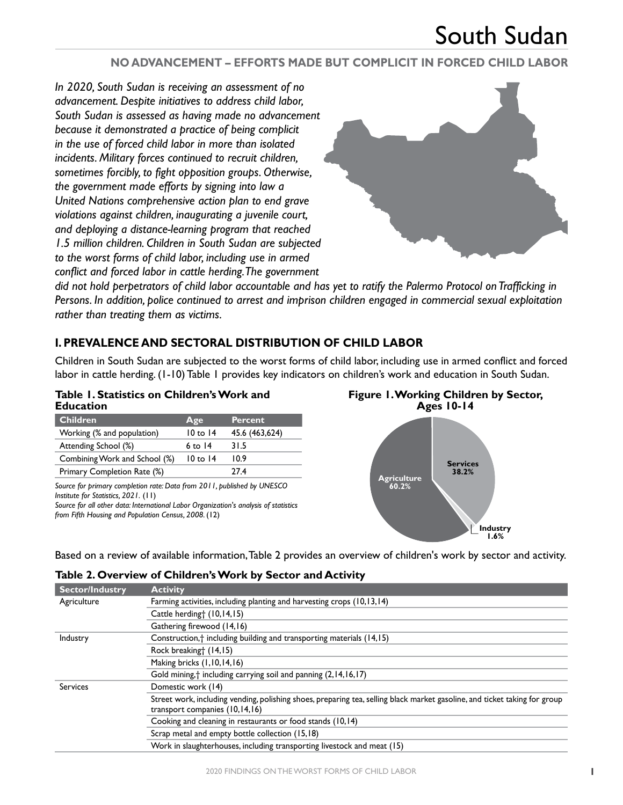## **NO ADVANCEMENT – EFFORTS MADE BUT COMPLICIT IN FORCED CHILD LABOR**

*In 2020, South Sudan is receiving an assessment of no advancement. Despite initiatives to address child labor, South Sudan is assessed as having made no advancement because it demonstrated a practice of being complicit in the use of forced child labor in more than isolated incidents. Military forces continued to recruit children, sometimes forcibly, to fight opposition groups. Otherwise, the government made efforts by signing into law a United Nations comprehensive action plan to end grave violations against children, inaugurating a juvenile court, and deploying a distance-learning program that reached 1.5 million children. Children in South Sudan are subjected to the worst forms of child labor, including use in armed conflict and forced labor in cattle herding. The government* 



*did not hold perpetrators of child labor accountable and has yet to ratify the Palermo Protocol on Trafficking in Persons. In addition, police continued to arrest and imprison children engaged in commercial sexual exploitation rather than treating them as victims.*

### **I. PREVALENCE AND SECTORAL DISTRIBUTION OF CHILD LABOR**

Children in South Sudan are subjected to the worst forms of child labor, including use in armed conflict and forced labor in cattle herding. (1-10) Table 1 provides key indicators on children's work and education in South Sudan.

#### **Table 1. Statistics on Children's Work and Education**

| <b>Children</b>               | Age          | <b>Percent</b> |
|-------------------------------|--------------|----------------|
| Working (% and population)    | $10$ to $14$ | 45.6 (463,624) |
| Attending School (%)          | 6 to 14      | 31.5           |
| Combining Work and School (%) | $10$ to $14$ | 10.9           |
| Primary Completion Rate (%)   |              | 27 4           |
|                               |              |                |

*Source for primary completion rate: Data from 2011, published by UNESCO Institute for Statistics, 2021.* (11)

*Source for all other data: International Labor Organization's analysis of statistics from Fifth Housing and Population Census, 2008.* (12)





Based on a review of available information, Table 2 provides an overview of children's work by sector and activity.

| <b>Sector/Industry</b> | <b>Activity</b>                                                                                                                                              |
|------------------------|--------------------------------------------------------------------------------------------------------------------------------------------------------------|
| Agriculture            | Farming activities, including planting and harvesting crops (10,13,14)                                                                                       |
|                        | Cattle herding† (10,14,15)                                                                                                                                   |
|                        | Gathering firewood (14,16)                                                                                                                                   |
| Industry               | Construction, <sup>†</sup> including building and transporting materials (14,15)                                                                             |
|                        | Rock breaking† (14,15)                                                                                                                                       |
|                        | Making bricks (1,10,14,16)                                                                                                                                   |
|                        | Gold mining, † including carrying soil and panning (2,14,16,17)                                                                                              |
| <b>Services</b>        | Domestic work (14)                                                                                                                                           |
|                        | Street work, including vending, polishing shoes, preparing tea, selling black market gasoline, and ticket taking for group<br>transport companies (10,14,16) |
|                        | Cooking and cleaning in restaurants or food stands (10,14)                                                                                                   |
|                        | Scrap metal and empty bottle collection (15,18)                                                                                                              |
|                        | Work in slaughterhouses, including transporting livestock and meat (15)                                                                                      |

#### **Table 2. Overview of Children's Work by Sector and Activity**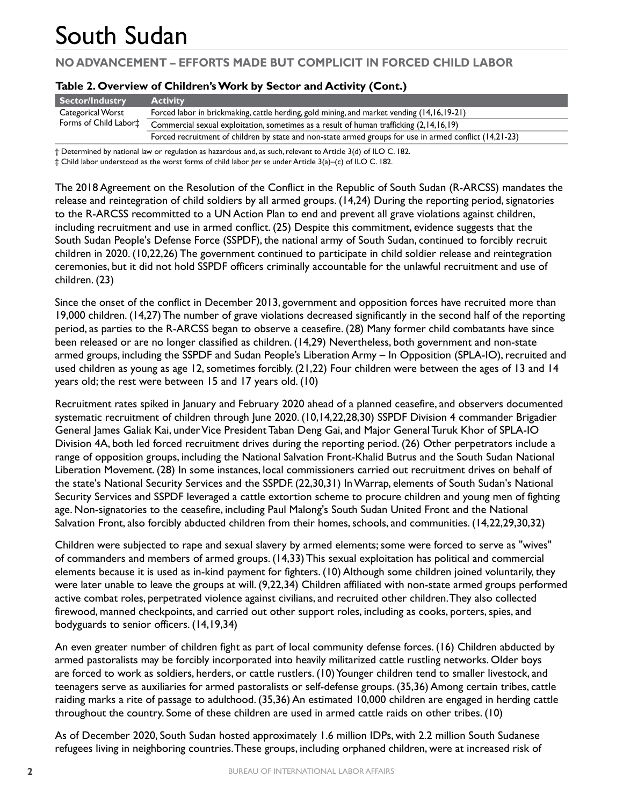**NO ADVANCEMENT – EFFORTS MADE BUT COMPLICIT IN FORCED CHILD LABOR**

#### **Table 2. Overview of Children's Work by Sector and Activity (Cont.)**

| Sector/Industry                                        | <b>Activity</b>                                                                                         |
|--------------------------------------------------------|---------------------------------------------------------------------------------------------------------|
| Categorical Worst<br>Forms of Child Labor <sup>+</sup> | Forced labor in brickmaking, cattle herding, gold mining, and market vending (14,16,19-21)              |
|                                                        | Commercial sexual exploitation, sometimes as a result of human trafficking (2,14,16,19)                 |
|                                                        | Forced recruitment of children by state and non-state armed groups for use in armed conflict (14,21-23) |

† Determined by national law or regulation as hazardous and, as such, relevant to Article 3(d) of ILO C. 182.

‡ Child labor understood as the worst forms of child labor *per se* under Article 3(a)–(c) of ILO C. 182.

The 2018 Agreement on the Resolution of the Conflict in the Republic of South Sudan (R-ARCSS) mandates the release and reintegration of child soldiers by all armed groups. (14,24) During the reporting period, signatories to the R-ARCSS recommitted to a UN Action Plan to end and prevent all grave violations against children, including recruitment and use in armed conflict. (25) Despite this commitment, evidence suggests that the South Sudan People's Defense Force (SSPDF), the national army of South Sudan, continued to forcibly recruit children in 2020. (10,22,26) The government continued to participate in child soldier release and reintegration ceremonies, but it did not hold SSPDF officers criminally accountable for the unlawful recruitment and use of children. (23)

Since the onset of the conflict in December 2013, government and opposition forces have recruited more than 19,000 children. (14,27) The number of grave violations decreased significantly in the second half of the reporting period, as parties to the R-ARCSS began to observe a ceasefire. (28) Many former child combatants have since been released or are no longer classified as children. (14,29) Nevertheless, both government and non-state armed groups, including the SSPDF and Sudan People's Liberation Army – In Opposition (SPLA-IO), recruited and used children as young as age 12, sometimes forcibly. (21,22) Four children were between the ages of 13 and 14 years old; the rest were between 15 and 17 years old. (10)

Recruitment rates spiked in January and February 2020 ahead of a planned ceasefire, and observers documented systematic recruitment of children through June 2020. (10,14,22,28,30) SSPDF Division 4 commander Brigadier General James Galiak Kai, under Vice President Taban Deng Gai, and Major General Turuk Khor of SPLA-IO Division 4A, both led forced recruitment drives during the reporting period. (26) Other perpetrators include a range of opposition groups, including the National Salvation Front-Khalid Butrus and the South Sudan National Liberation Movement. (28) In some instances, local commissioners carried out recruitment drives on behalf of the state's National Security Services and the SSPDF. (22,30,31) In Warrap, elements of South Sudan's National Security Services and SSPDF leveraged a cattle extortion scheme to procure children and young men of fighting age. Non-signatories to the ceasefire, including Paul Malong's South Sudan United Front and the National Salvation Front, also forcibly abducted children from their homes, schools, and communities. (14,22,29,30,32)

Children were subjected to rape and sexual slavery by armed elements; some were forced to serve as "wives" of commanders and members of armed groups. (14,33) This sexual exploitation has political and commercial elements because it is used as in-kind payment for fighters. (10) Although some children joined voluntarily, they were later unable to leave the groups at will. (9,22,34) Children affiliated with non-state armed groups performed active combat roles, perpetrated violence against civilians, and recruited other children. They also collected firewood, manned checkpoints, and carried out other support roles, including as cooks, porters, spies, and bodyguards to senior officers. (14,19,34)

An even greater number of children fight as part of local community defense forces. (16) Children abducted by armed pastoralists may be forcibly incorporated into heavily militarized cattle rustling networks. Older boys are forced to work as soldiers, herders, or cattle rustlers. (10) Younger children tend to smaller livestock, and teenagers serve as auxiliaries for armed pastoralists or self-defense groups. (35,36) Among certain tribes, cattle raiding marks a rite of passage to adulthood. (35,36) An estimated 10,000 children are engaged in herding cattle throughout the country. Some of these children are used in armed cattle raids on other tribes. (10)

As of December 2020, South Sudan hosted approximately 1.6 million IDPs, with 2.2 million South Sudanese refugees living in neighboring countries. These groups, including orphaned children, were at increased risk of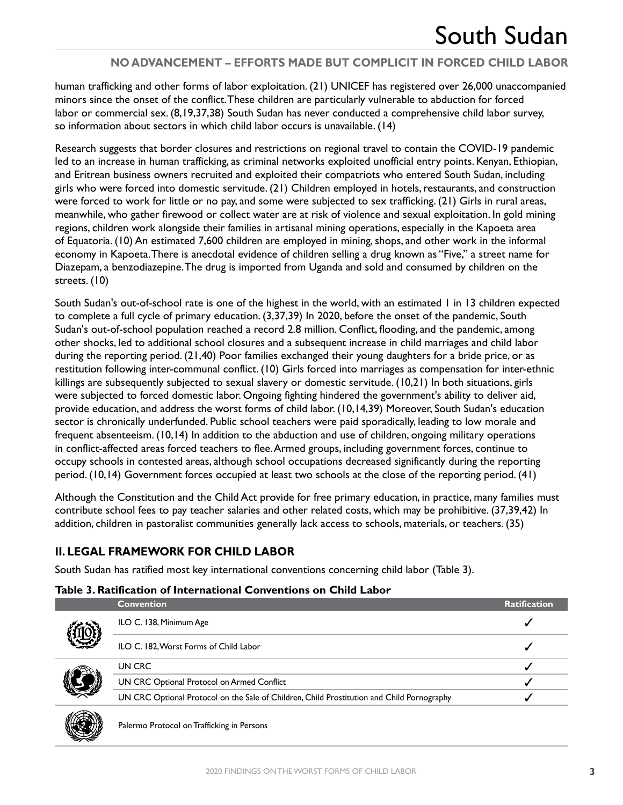## **NO ADVANCEMENT – EFFORTS MADE BUT COMPLICIT IN FORCED CHILD LABOR**

human trafficking and other forms of labor exploitation. (21) UNICEF has registered over 26,000 unaccompanied minors since the onset of the conflict. These children are particularly vulnerable to abduction for forced labor or commercial sex. (8,19,37,38) South Sudan has never conducted a comprehensive child labor survey, so information about sectors in which child labor occurs is unavailable. (14)

Research suggests that border closures and restrictions on regional travel to contain the COVID-19 pandemic led to an increase in human trafficking, as criminal networks exploited unofficial entry points. Kenyan, Ethiopian, and Eritrean business owners recruited and exploited their compatriots who entered South Sudan, including girls who were forced into domestic servitude. (21) Children employed in hotels, restaurants, and construction were forced to work for little or no pay, and some were subjected to sex trafficking. (21) Girls in rural areas, meanwhile, who gather firewood or collect water are at risk of violence and sexual exploitation. In gold mining regions, children work alongside their families in artisanal mining operations, especially in the Kapoeta area of Equatoria. (10) An estimated 7,600 children are employed in mining, shops, and other work in the informal economy in Kapoeta. There is anecdotal evidence of children selling a drug known as "Five," a street name for Diazepam, a benzodiazepine. The drug is imported from Uganda and sold and consumed by children on the streets. (10)

South Sudan's out-of-school rate is one of the highest in the world, with an estimated 1 in 13 children expected to complete a full cycle of primary education. (3,37,39) In 2020, before the onset of the pandemic, South Sudan's out-of-school population reached a record 2.8 million. Conflict, flooding, and the pandemic, among other shocks, led to additional school closures and a subsequent increase in child marriages and child labor during the reporting period. (21,40) Poor families exchanged their young daughters for a bride price, or as restitution following inter-communal conflict. (10) Girls forced into marriages as compensation for inter-ethnic killings are subsequently subjected to sexual slavery or domestic servitude. (10,21) In both situations, girls were subjected to forced domestic labor. Ongoing fighting hindered the government's ability to deliver aid, provide education, and address the worst forms of child labor. (10,14,39) Moreover, South Sudan's education sector is chronically underfunded. Public school teachers were paid sporadically, leading to low morale and frequent absenteeism. (10,14) In addition to the abduction and use of children, ongoing military operations in conflict-affected areas forced teachers to flee. Armed groups, including government forces, continue to occupy schools in contested areas, although school occupations decreased significantly during the reporting period. (10,14) Government forces occupied at least two schools at the close of the reporting period. (41)

Although the Constitution and the Child Act provide for free primary education, in practice, many families must contribute school fees to pay teacher salaries and other related costs, which may be prohibitive. (37,39,42) In addition, children in pastoralist communities generally lack access to schools, materials, or teachers. (35)

## **II. LEGAL FRAMEWORK FOR CHILD LABOR**

South Sudan has ratified most key international conventions concerning child labor (Table 3).

#### **Table 3. Ratification of International Conventions on Child Labor**

|  | <b>Convention</b>                                                                          | ${\sf Ratification}^+$ |
|--|--------------------------------------------------------------------------------------------|------------------------|
|  | ILO C. 138, Minimum Age                                                                    |                        |
|  | ILO C. 182, Worst Forms of Child Labor                                                     |                        |
|  | UN CRC                                                                                     |                        |
|  | UN CRC Optional Protocol on Armed Conflict                                                 |                        |
|  | UN CRC Optional Protocol on the Sale of Children, Child Prostitution and Child Pornography |                        |
|  |                                                                                            |                        |



Palermo Protocol on Trafficking in Persons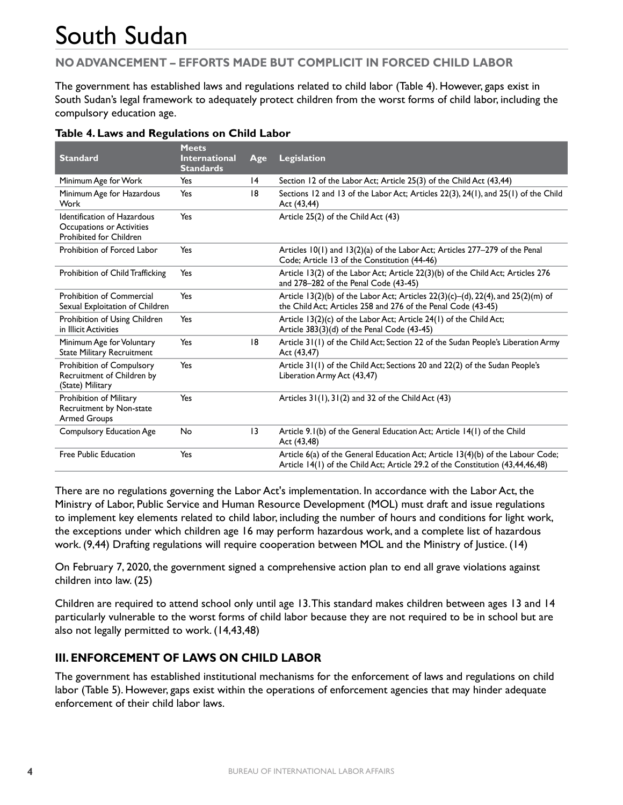## **NO ADVANCEMENT – EFFORTS MADE BUT COMPLICIT IN FORCED CHILD LABOR**

The government has established laws and regulations related to child labor (Table 4). However, gaps exist in South Sudan's legal framework to adequately protect children from the worst forms of child labor, including the compulsory education age.

| <b>Standard</b>                                                                            | <b>Meets</b><br><b>International</b><br><b>Standards</b> | Age             | <b>Legislation</b>                                                                                                                                                |
|--------------------------------------------------------------------------------------------|----------------------------------------------------------|-----------------|-------------------------------------------------------------------------------------------------------------------------------------------------------------------|
| Minimum Age for Work                                                                       | Yes                                                      | $\overline{14}$ | Section 12 of the Labor Act; Article 25(3) of the Child Act (43,44)                                                                                               |
| Minimum Age for Hazardous<br>Work                                                          | Yes                                                      | 18              | Sections 12 and 13 of the Labor Act; Articles 22(3), 24(1), and 25(1) of the Child<br>Act (43,44)                                                                 |
| <b>Identification of Hazardous</b><br>Occupations or Activities<br>Prohibited for Children | Yes                                                      |                 | Article 25(2) of the Child Act (43)                                                                                                                               |
| Prohibition of Forced Labor                                                                | Yes                                                      |                 | Articles 10(1) and 13(2)(a) of the Labor Act; Articles 277-279 of the Penal<br>Code; Article 13 of the Constitution (44-46)                                       |
| Prohibition of Child Trafficking                                                           | Yes                                                      |                 | Article 13(2) of the Labor Act; Article 22(3)(b) of the Child Act; Articles 276<br>and 278-282 of the Penal Code (43-45)                                          |
| <b>Prohibition of Commercial</b><br>Sexual Exploitation of Children                        | Yes                                                      |                 | Article 13(2)(b) of the Labor Act; Articles $22(3)(c)$ –(d), $22(4)$ , and $25(2)(m)$ of<br>the Child Act; Articles 258 and 276 of the Penal Code (43-45)         |
| Prohibition of Using Children<br>in Illicit Activities                                     | Yes                                                      |                 | Article 13(2)(c) of the Labor Act; Article 24(1) of the Child Act;<br>Article 383(3)(d) of the Penal Code (43-45)                                                 |
| Minimum Age for Voluntary<br><b>State Military Recruitment</b>                             | Yes                                                      | 18              | Article 31(1) of the Child Act; Section 22 of the Sudan People's Liberation Army<br>Act (43,47)                                                                   |
| Prohibition of Compulsory<br>Recruitment of Children by<br>(State) Military                | Yes                                                      |                 | Article 31(1) of the Child Act; Sections 20 and 22(2) of the Sudan People's<br>Liberation Army Act (43,47)                                                        |
| Prohibition of Military<br>Recruitment by Non-state<br><b>Armed Groups</b>                 | Yes                                                      |                 | Articles $31(1)$ , $31(2)$ and $32$ of the Child Act (43)                                                                                                         |
| <b>Compulsory Education Age</b>                                                            | No                                                       | $\overline{13}$ | Article 9.1(b) of the General Education Act; Article 14(1) of the Child<br>Act (43,48)                                                                            |
| Free Public Education                                                                      | Yes                                                      |                 | Article 6(a) of the General Education Act; Article 13(4)(b) of the Labour Code;<br>Article 14(1) of the Child Act; Article 29.2 of the Constitution (43,44,46,48) |

#### **Table 4. Laws and Regulations on Child Labor**

There are no regulations governing the Labor Act's implementation. In accordance with the Labor Act, the Ministry of Labor, Public Service and Human Resource Development (MOL) must draft and issue regulations to implement key elements related to child labor, including the number of hours and conditions for light work, the exceptions under which children age 16 may perform hazardous work, and a complete list of hazardous work. (9,44) Drafting regulations will require cooperation between MOL and the Ministry of Justice. (14)

On February 7, 2020, the government signed a comprehensive action plan to end all grave violations against children into law. (25)

Children are required to attend school only until age 13. This standard makes children between ages 13 and 14 particularly vulnerable to the worst forms of child labor because they are not required to be in school but are also not legally permitted to work. (14,43,48)

#### **III. ENFORCEMENT OF LAWS ON CHILD LABOR**

The government has established institutional mechanisms for the enforcement of laws and regulations on child labor (Table 5). However, gaps exist within the operations of enforcement agencies that may hinder adequate enforcement of their child labor laws.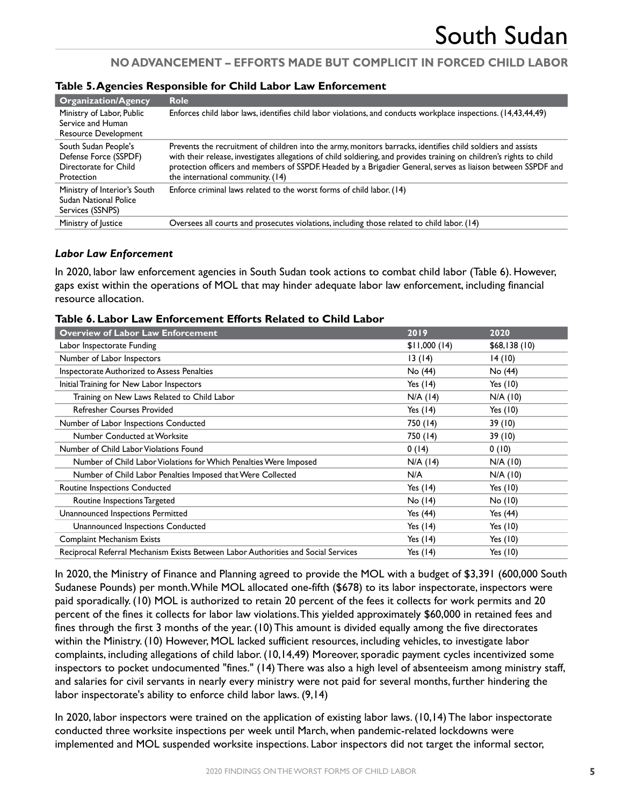### **NO ADVANCEMENT – EFFORTS MADE BUT COMPLICIT IN FORCED CHILD LABOR**

| <b>Organization/Agency</b>                                                                  | <b>Role</b>                                                                                                                                                                                                                                                                                                                                                                                |
|---------------------------------------------------------------------------------------------|--------------------------------------------------------------------------------------------------------------------------------------------------------------------------------------------------------------------------------------------------------------------------------------------------------------------------------------------------------------------------------------------|
| Ministry of Labor, Public<br>Service and Human<br>Resource Development                      | Enforces child labor laws, identifies child labor violations, and conducts workplace inspections. (14,43,44,49)                                                                                                                                                                                                                                                                            |
| South Sudan People's<br>Defense Force (SSPDF)<br>Directorate for Child<br><b>Protection</b> | Prevents the recruitment of children into the army, monitors barracks, identifies child soldiers and assists<br>with their release, investigates allegations of child soldiering, and provides training on children's rights to child<br>protection officers and members of SSPDF. Headed by a Brigadier General, serves as liaison between SSPDF and<br>the international community. (14) |
| Ministry of Interior's South<br>Sudan National Police<br>Services (SSNPS)                   | Enforce criminal laws related to the worst forms of child labor. (14)                                                                                                                                                                                                                                                                                                                      |
| Ministry of Justice                                                                         | Oversees all courts and prosecutes violations, including those related to child labor. (14)                                                                                                                                                                                                                                                                                                |

#### **Table 5. Agencies Responsible for Child Labor Law Enforcement**

#### *Labor Law Enforcement*

In 2020, labor law enforcement agencies in South Sudan took actions to combat child labor (Table 6). However, gaps exist within the operations of MOL that may hinder adequate labor law enforcement, including financial resource allocation.

**Table 6. Labor Law Enforcement Efforts Related to Child Labor**

| <b>Overview of Labor Law Enforcement</b>                                           | 2019         | 2020         |
|------------------------------------------------------------------------------------|--------------|--------------|
| Labor Inspectorate Funding                                                         | \$11,000(14) | \$68,138(10) |
| Number of Labor Inspectors                                                         | 13(14)       | 14(10)       |
| Inspectorate Authorized to Assess Penalties                                        | No (44)      | No (44)      |
| Initial Training for New Labor Inspectors                                          | Yes $(14)$   | Yes (10)     |
| Training on New Laws Related to Child Labor                                        | $N/A$ (14)   | N/A (10)     |
| <b>Refresher Courses Provided</b>                                                  | Yes $(14)$   | Yes $(10)$   |
| Number of Labor Inspections Conducted                                              | 750 (14)     | 39 (10)      |
| Number Conducted at Worksite                                                       | 750 (14)     | 39 (10)      |
| Number of Child Labor Violations Found                                             | 0(14)        | 0(10)        |
| Number of Child Labor Violations for Which Penalties Were Imposed                  | $N/A$ (14)   | $N/A$ (10)   |
| Number of Child Labor Penalties Imposed that Were Collected                        | N/A          | N/A (10)     |
| Routine Inspections Conducted                                                      | Yes $(14)$   | Yes $(10)$   |
| Routine Inspections Targeted                                                       | No (14)      | No (10)      |
| Unannounced Inspections Permitted                                                  | Yes $(44)$   | Yes (44)     |
| Unannounced Inspections Conducted                                                  | Yes $(14)$   | Yes (10)     |
| <b>Complaint Mechanism Exists</b>                                                  | Yes $(14)$   | Yes $(10)$   |
| Reciprocal Referral Mechanism Exists Between Labor Authorities and Social Services | Yes $(14)$   | Yes (10)     |

In 2020, the Ministry of Finance and Planning agreed to provide the MOL with a budget of \$3,391 (600,000 South Sudanese Pounds) per month. While MOL allocated one-fifth (\$678) to its labor inspectorate, inspectors were paid sporadically. (10) MOL is authorized to retain 20 percent of the fees it collects for work permits and 20 percent of the fines it collects for labor law violations. This yielded approximately \$60,000 in retained fees and fines through the first 3 months of the year. (10) This amount is divided equally among the five directorates within the Ministry. (10) However, MOL lacked sufficient resources, including vehicles, to investigate labor complaints, including allegations of child labor. (10,14,49) Moreover, sporadic payment cycles incentivized some inspectors to pocket undocumented "fines." (14) There was also a high level of absenteeism among ministry staff, and salaries for civil servants in nearly every ministry were not paid for several months, further hindering the labor inspectorate's ability to enforce child labor laws. (9,14)

In 2020, labor inspectors were trained on the application of existing labor laws. (10,14) The labor inspectorate conducted three worksite inspections per week until March, when pandemic-related lockdowns were implemented and MOL suspended worksite inspections. Labor inspectors did not target the informal sector,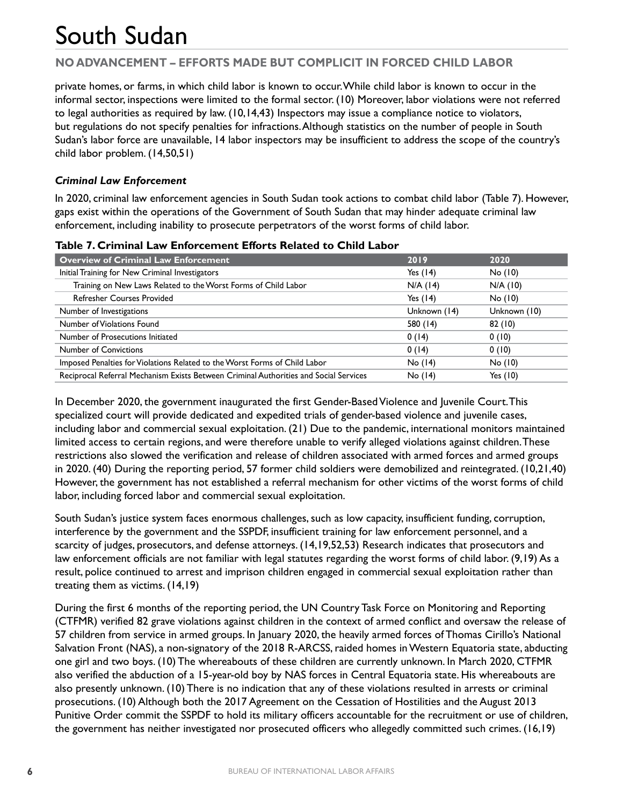### **NO ADVANCEMENT – EFFORTS MADE BUT COMPLICIT IN FORCED CHILD LABOR**

private homes, or farms, in which child labor is known to occur. While child labor is known to occur in the informal sector, inspections were limited to the formal sector. (10) Moreover, labor violations were not referred to legal authorities as required by law. (10,14,43) Inspectors may issue a compliance notice to violators, but regulations do not specify penalties for infractions. Although statistics on the number of people in South Sudan's labor force are unavailable, 14 labor inspectors may be insufficient to address the scope of the country's child labor problem. (14,50,51)

#### *Criminal Law Enforcement*

In 2020, criminal law enforcement agencies in South Sudan took actions to combat child labor (Table 7). However, gaps exist within the operations of the Government of South Sudan that may hinder adequate criminal law enforcement, including inability to prosecute perpetrators of the worst forms of child labor.

| <b>Overview of Criminal Law Enforcement</b>                                           | 2019         | 2020         |
|---------------------------------------------------------------------------------------|--------------|--------------|
| Initial Training for New Criminal Investigators                                       | Yes $(14)$   | No(10)       |
| Training on New Laws Related to the Worst Forms of Child Labor                        | $N/A$ (14)   | $N/A$ (10)   |
| <b>Refresher Courses Provided</b>                                                     | Yes $(14)$   | No(10)       |
| Number of Investigations                                                              | Unknown (14) | Unknown (10) |
| Number of Violations Found                                                            | 580 (14)     | 82(10)       |
| Number of Prosecutions Initiated                                                      | 0(14)        | 0(10)        |
| <b>Number of Convictions</b>                                                          | 0(14)        | 0(10)        |
| Imposed Penalties for Violations Related to the Worst Forms of Child Labor            | No(14)       | No(10)       |
| Reciprocal Referral Mechanism Exists Between Criminal Authorities and Social Services | No(14)       | Yes $(10)$   |

**Table 7. Criminal Law Enforcement Efforts Related to Child Labor**

In December 2020, the government inaugurated the first Gender-Based Violence and Juvenile Court. This specialized court will provide dedicated and expedited trials of gender-based violence and juvenile cases, including labor and commercial sexual exploitation. (21) Due to the pandemic, international monitors maintained limited access to certain regions, and were therefore unable to verify alleged violations against children. These restrictions also slowed the verification and release of children associated with armed forces and armed groups in 2020. (40) During the reporting period, 57 former child soldiers were demobilized and reintegrated. (10,21,40) However, the government has not established a referral mechanism for other victims of the worst forms of child labor, including forced labor and commercial sexual exploitation.

South Sudan's justice system faces enormous challenges, such as low capacity, insufficient funding, corruption, interference by the government and the SSPDF, insufficient training for law enforcement personnel, and a scarcity of judges, prosecutors, and defense attorneys. (14,19,52,53) Research indicates that prosecutors and law enforcement officials are not familiar with legal statutes regarding the worst forms of child labor. (9,19) As a result, police continued to arrest and imprison children engaged in commercial sexual exploitation rather than treating them as victims. (14,19)

During the first 6 months of the reporting period, the UN Country Task Force on Monitoring and Reporting (CTFMR) verified 82 grave violations against children in the context of armed conflict and oversaw the release of 57 children from service in armed groups. In January 2020, the heavily armed forces of Thomas Cirillo's National Salvation Front (NAS), a non-signatory of the 2018 R-ARCSS, raided homes in Western Equatoria state, abducting one girl and two boys. (10) The whereabouts of these children are currently unknown. In March 2020, CTFMR also verified the abduction of a 15-year-old boy by NAS forces in Central Equatoria state. His whereabouts are also presently unknown. (10) There is no indication that any of these violations resulted in arrests or criminal prosecutions. (10) Although both the 2017 Agreement on the Cessation of Hostilities and the August 2013 Punitive Order commit the SSPDF to hold its military officers accountable for the recruitment or use of children, the government has neither investigated nor prosecuted officers who allegedly committed such crimes. (16,19)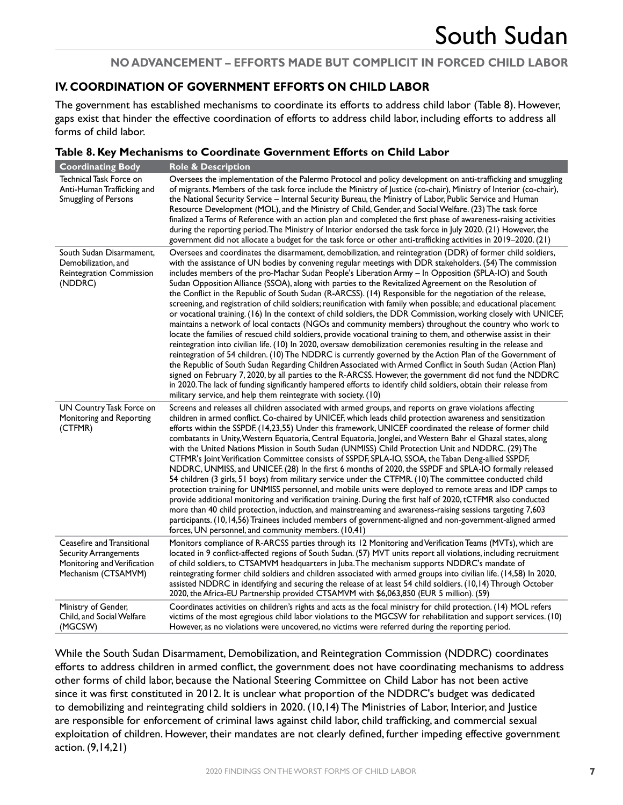#### **NO ADVANCEMENT – EFFORTS MADE BUT COMPLICIT IN FORCED CHILD LABOR**

## **IV. COORDINATION OF GOVERNMENT EFFORTS ON CHILD LABOR**

The government has established mechanisms to coordinate its efforts to address child labor (Table 8). However, gaps exist that hinder the effective coordination of efforts to address child labor, including efforts to address all forms of child labor.

#### **Table 8. Key Mechanisms to Coordinate Government Efforts on Child Labor**

| <b>Coordinating Body</b>                                                                                         | <b>Role &amp; Description</b>                                                                                                                                                                                                                                                                                                                                                                                                                                                                                                                                                                                                                                                                                                                                                                                                                                                                                                                                                                                                                                                                                                                                                                                                                                                                                                                                                                                                                                                                                                                                                                                                                                                      |
|------------------------------------------------------------------------------------------------------------------|------------------------------------------------------------------------------------------------------------------------------------------------------------------------------------------------------------------------------------------------------------------------------------------------------------------------------------------------------------------------------------------------------------------------------------------------------------------------------------------------------------------------------------------------------------------------------------------------------------------------------------------------------------------------------------------------------------------------------------------------------------------------------------------------------------------------------------------------------------------------------------------------------------------------------------------------------------------------------------------------------------------------------------------------------------------------------------------------------------------------------------------------------------------------------------------------------------------------------------------------------------------------------------------------------------------------------------------------------------------------------------------------------------------------------------------------------------------------------------------------------------------------------------------------------------------------------------------------------------------------------------------------------------------------------------|
| Technical Task Force on<br>Anti-Human Trafficking and<br>Smuggling of Persons                                    | Oversees the implementation of the Palermo Protocol and policy development on anti-trafficking and smuggling<br>of migrants. Members of the task force include the Ministry of Justice (co-chair), Ministry of Interior (co-chair),<br>the National Security Service - Internal Security Bureau, the Ministry of Labor, Public Service and Human<br>Resource Development (MOL), and the Ministry of Child, Gender, and Social Welfare. (23) The task force<br>finalized a Terms of Reference with an action plan and completed the first phase of awareness-raising activities<br>during the reporting period. The Ministry of Interior endorsed the task force in July 2020. (21) However, the<br>government did not allocate a budget for the task force or other anti-trafficking activities in 2019-2020. (21)                                                                                                                                                                                                                                                                                                                                                                                                                                                                                                                                                                                                                                                                                                                                                                                                                                                                 |
| South Sudan Disarmament,<br>Demobilization, and<br>Reintegration Commission<br>(NDDRC)                           | Oversees and coordinates the disarmament, demobilization, and reintegration (DDR) of former child soldiers,<br>with the assistance of UN bodies by convening regular meetings with DDR stakeholders. (54) The commission<br>includes members of the pro-Machar Sudan People's Liberation Army - In Opposition (SPLA-IO) and South<br>Sudan Opposition Alliance (SSOA), along with parties to the Revitalized Agreement on the Resolution of<br>the Conflict in the Republic of South Sudan (R-ARCSS). (14) Responsible for the negotiation of the release,<br>screening, and registration of child soldiers; reunification with family when possible; and educational placement<br>or vocational training. (16) In the context of child soldiers, the DDR Commission, working closely with UNICEF,<br>maintains a network of local contacts (NGOs and community members) throughout the country who work to<br>locate the families of rescued child soldiers, provide vocational training to them, and otherwise assist in their<br>reintegration into civilian life. (10) In 2020, oversaw demobilization ceremonies resulting in the release and<br>reintegration of 54 children. (10) The NDDRC is currently governed by the Action Plan of the Government of<br>the Republic of South Sudan Regarding Children Associated with Armed Conflict in South Sudan (Action Plan)<br>signed on February 7, 2020, by all parties to the R-ARCSS. However, the government did not fund the NDDRC<br>in 2020. The lack of funding significantly hampered efforts to identify child soldiers, obtain their release from<br>military service, and help them reintegrate with society. (10) |
| UN Country Task Force on<br>Monitoring and Reporting<br>(CTFMR)                                                  | Screens and releases all children associated with armed groups, and reports on grave violations affecting<br>children in armed conflict. Co-chaired by UNICEF, which leads child protection awareness and sensitization<br>efforts within the SSPDF. (14,23,55) Under this framework, UNICEF coordinated the release of former child<br>combatants in Unity, Western Equatoria, Central Equatoria, Jonglei, and Western Bahr el Ghazal states, along<br>with the United Nations Mission in South Sudan (UNMISS) Child Protection Unit and NDDRC. (29) The<br>CTFMR's Joint Verification Committee consists of SSPDF, SPLA-IO, SSOA, the Taban Deng-allied SSPDF,<br>NDDRC, UNMISS, and UNICEF. (28) In the first 6 months of 2020, the SSPDF and SPLA-IO formally released<br>54 children (3 girls, 51 boys) from military service under the CTFMR. (10) The committee conducted child<br>protection training for UNMISS personnel, and mobile units were deployed to remote areas and IDP camps to<br>provide additional monitoring and verification training. During the first half of 2020, tCTFMR also conducted<br>more than 40 child protection, induction, and mainstreaming and awareness-raising sessions targeting 7,603<br>participants. (10,14,56) Trainees included members of government-aligned and non-government-aligned armed<br>forces, UN personnel, and community members. (10,41)                                                                                                                                                                                                                                                                            |
| Ceasefire and Transitional<br><b>Security Arrangements</b><br>Monitoring and Verification<br>Mechanism (CTSAMVM) | Monitors compliance of R-ARCSS parties through its 12 Monitoring and Verification Teams (MVTs), which are<br>located in 9 conflict-affected regions of South Sudan. (57) MVT units report all violations, including recruitment<br>of child soldiers, to CTSAMVM headquarters in Juba. The mechanism supports NDDRC's mandate of<br>reintegrating former child soldiers and children associated with armed groups into civilian life. (14,58) In 2020,<br>assisted NDDRC in identifying and securing the release of at least 54 child soldiers. (10,14) Through October<br>2020, the Africa-EU Partnership provided CTSAMVM with \$6,063,850 (EUR 5 million). (59)                                                                                                                                                                                                                                                                                                                                                                                                                                                                                                                                                                                                                                                                                                                                                                                                                                                                                                                                                                                                                 |
| Ministry of Gender,<br>Child, and Social Welfare<br>(MGCSW)                                                      | Coordinates activities on children's rights and acts as the focal ministry for child protection. (14) MOL refers<br>victims of the most egregious child labor violations to the MGCSW for rehabilitation and support services. (10)<br>However, as no violations were uncovered, no victims were referred during the reporting period.                                                                                                                                                                                                                                                                                                                                                                                                                                                                                                                                                                                                                                                                                                                                                                                                                                                                                                                                                                                                                                                                                                                                                                                                                                                                                                                                             |

While the South Sudan Disarmament, Demobilization, and Reintegration Commission (NDDRC) coordinates efforts to address children in armed conflict, the government does not have coordinating mechanisms to address other forms of child labor, because the National Steering Committee on Child Labor has not been active since it was first constituted in 2012. It is unclear what proportion of the NDDRC's budget was dedicated to demobilizing and reintegrating child soldiers in 2020. (10,14) The Ministries of Labor, Interior, and Justice are responsible for enforcement of criminal laws against child labor, child trafficking, and commercial sexual exploitation of children. However, their mandates are not clearly defined, further impeding effective government action. (9,14,21)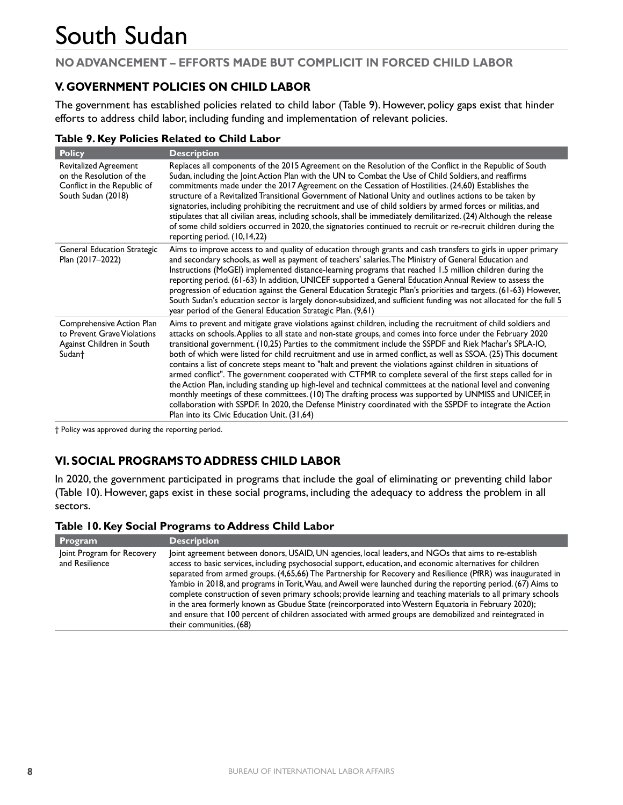#### **NO ADVANCEMENT – EFFORTS MADE BUT COMPLICIT IN FORCED CHILD LABOR**

## **V. GOVERNMENT POLICIES ON CHILD LABOR**

The government has established policies related to child labor (Table 9). However, policy gaps exist that hinder efforts to address child labor, including funding and implementation of relevant policies.

| Table 9. Key Policies Related to Child Labor |  |  |  |  |  |  |  |  |
|----------------------------------------------|--|--|--|--|--|--|--|--|
|----------------------------------------------|--|--|--|--|--|--|--|--|

| <b>Policy</b>                                                                                                 | <b>Description</b>                                                                                                                                                                                                                                                                                                                                                                                                                                                                                                                                                                                                                                                                                                                                                                                                                                                                                                                                                                                                                                                                  |
|---------------------------------------------------------------------------------------------------------------|-------------------------------------------------------------------------------------------------------------------------------------------------------------------------------------------------------------------------------------------------------------------------------------------------------------------------------------------------------------------------------------------------------------------------------------------------------------------------------------------------------------------------------------------------------------------------------------------------------------------------------------------------------------------------------------------------------------------------------------------------------------------------------------------------------------------------------------------------------------------------------------------------------------------------------------------------------------------------------------------------------------------------------------------------------------------------------------|
| <b>Revitalized Agreement</b><br>on the Resolution of the<br>Conflict in the Republic of<br>South Sudan (2018) | Replaces all components of the 2015 Agreement on the Resolution of the Conflict in the Republic of South<br>Sudan, including the Joint Action Plan with the UN to Combat the Use of Child Soldiers, and reaffirms<br>commitments made under the 2017 Agreement on the Cessation of Hostilities. (24,60) Establishes the<br>structure of a Revitalized Transitional Government of National Unity and outlines actions to be taken by<br>signatories, including prohibiting the recruitment and use of child soldiers by armed forces or militias, and<br>stipulates that all civilian areas, including schools, shall be immediately demilitarized. (24) Although the release<br>of some child soldiers occurred in 2020, the signatories continued to recruit or re-recruit children during the<br>reporting period. (10,14,22)                                                                                                                                                                                                                                                     |
| <b>General Education Strategic</b><br>Plan (2017-2022)                                                        | Aims to improve access to and quality of education through grants and cash transfers to girls in upper primary<br>and secondary schools, as well as payment of teachers' salaries. The Ministry of General Education and<br>Instructions (MoGEI) implemented distance-learning programs that reached 1.5 million children during the<br>reporting period. (61-63) In addition, UNICEF supported a General Education Annual Review to assess the<br>progression of education against the General Education Strategic Plan's priorities and targets. (61-63) However,<br>South Sudan's education sector is largely donor-subsidized, and sufficient funding was not allocated for the full 5<br>year period of the General Education Strategic Plan. (9,61)                                                                                                                                                                                                                                                                                                                           |
| Comprehensive Action Plan<br>to Prevent Grave Violations<br>Against Children in South<br>Sudan†               | Aims to prevent and mitigate grave violations against children, including the recruitment of child soldiers and<br>attacks on schools. Applies to all state and non-state groups, and comes into force under the February 2020<br>transitional government. (10,25) Parties to the commitment include the SSPDF and Riek Machar's SPLA-IO,<br>both of which were listed for child recruitment and use in armed conflict, as well as SSOA. (25) This document<br>contains a list of concrete steps meant to "halt and prevent the violations against children in situations of<br>armed conflict". The government cooperated with CTFMR to complete several of the first steps called for in<br>the Action Plan, including standing up high-level and technical committees at the national level and convening<br>monthly meetings of these committees. (10) The drafting process was supported by UNMISS and UNICEF, in<br>collaboration with SSPDF. In 2020, the Defense Ministry coordinated with the SSPDF to integrate the Action<br>Plan into its Civic Education Unit. (31,64) |

† Policy was approved during the reporting period.

## **VI. SOCIAL PROGRAMS TO ADDRESS CHILD LABOR**

In 2020, the government participated in programs that include the goal of eliminating or preventing child labor (Table 10). However, gaps exist in these social programs, including the adequacy to address the problem in all sectors.

|  |  | Table 10. Key Social Programs to Address Child Labor |  |
|--|--|------------------------------------------------------|--|
|  |  |                                                      |  |

| Program                                      | <b>Description</b>                                                                                                                                                                                                                                                                                                                                                                                                                                                                                                                                                                                                                                                                                                                                                                                                     |
|----------------------------------------------|------------------------------------------------------------------------------------------------------------------------------------------------------------------------------------------------------------------------------------------------------------------------------------------------------------------------------------------------------------------------------------------------------------------------------------------------------------------------------------------------------------------------------------------------------------------------------------------------------------------------------------------------------------------------------------------------------------------------------------------------------------------------------------------------------------------------|
| Joint Program for Recovery<br>and Resilience | Joint agreement between donors, USAID, UN agencies, local leaders, and NGOs that aims to re-establish<br>access to basic services, including psychosocial support, education, and economic alternatives for children<br>separated from armed groups. (4,65,66) The Partnership for Recovery and Resilience (PfRR) was inaugurated in<br>Yambio in 2018, and programs in Torit, Wau, and Aweil were launched during the reporting period. (67) Aims to<br>complete construction of seven primary schools; provide learning and teaching materials to all primary schools<br>in the area formerly known as Gbudue State (reincorporated into Western Equatoria in February 2020);<br>and ensure that 100 percent of children associated with armed groups are demobilized and reintegrated in<br>their communities. (68) |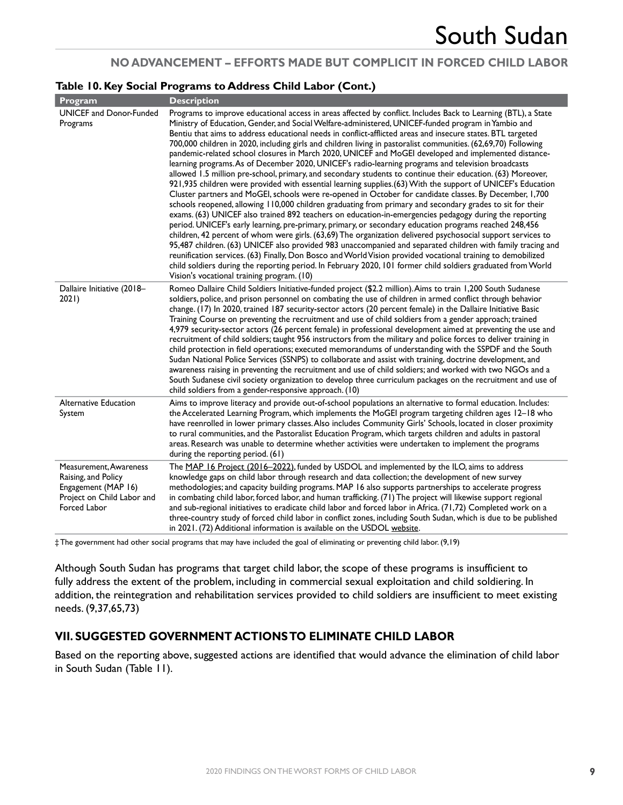#### **NO ADVANCEMENT – EFFORTS MADE BUT COMPLICIT IN FORCED CHILD LABOR**

#### **Table 10. Key Social Programs to Address Child Labor (Cont.)**

| Program                                                                                                            | <b>Description</b>                                                                                                                                                                                                                                                                                                                                                                                                                                                                                                                                                                                                                                                                                                                                                                                                                                                                                                                                                                                                                                                                                                                                                                                                                                                                                                                                                                                                                                                                                                                                                                                                                                                                                                                                                                                                                                          |  |  |
|--------------------------------------------------------------------------------------------------------------------|-------------------------------------------------------------------------------------------------------------------------------------------------------------------------------------------------------------------------------------------------------------------------------------------------------------------------------------------------------------------------------------------------------------------------------------------------------------------------------------------------------------------------------------------------------------------------------------------------------------------------------------------------------------------------------------------------------------------------------------------------------------------------------------------------------------------------------------------------------------------------------------------------------------------------------------------------------------------------------------------------------------------------------------------------------------------------------------------------------------------------------------------------------------------------------------------------------------------------------------------------------------------------------------------------------------------------------------------------------------------------------------------------------------------------------------------------------------------------------------------------------------------------------------------------------------------------------------------------------------------------------------------------------------------------------------------------------------------------------------------------------------------------------------------------------------------------------------------------------------|--|--|
| UNICEF and Donor-Funded<br>Programs                                                                                | Programs to improve educational access in areas affected by conflict. Includes Back to Learning (BTL), a State<br>Ministry of Education, Gender, and Social Welfare-administered, UNICEF-funded program in Yambio and<br>Bentiu that aims to address educational needs in conflict-afflicted areas and insecure states. BTL targeted<br>700,000 children in 2020, including girls and children living in pastoralist communities. (62,69,70) Following<br>pandemic-related school closures in March 2020, UNICEF and MoGEI developed and implemented distance-<br>learning programs. As of December 2020, UNICEF's radio-learning programs and television broadcasts<br>allowed 1.5 million pre-school, primary, and secondary students to continue their education. (63) Moreover,<br>921,935 children were provided with essential learning supplies.(63) With the support of UNICEF's Education<br>Cluster partners and MoGEI, schools were re-opened in October for candidate classes. By December, 1,700<br>schools reopened, allowing 110,000 children graduating from primary and secondary grades to sit for their<br>exams. (63) UNICEF also trained 892 teachers on education-in-emergencies pedagogy during the reporting<br>period. UNICEF's early learning, pre-primary, primary, or secondary education programs reached 248,456<br>children, 42 percent of whom were girls. (63,69) The organization delivered psychosocial support services to<br>95,487 children. (63) UNICEF also provided 983 unaccompanied and separated children with family tracing and<br>reunification services. (63) Finally, Don Bosco and World Vision provided vocational training to demobilized<br>child soldiers during the reporting period. In February 2020, 101 former child soldiers graduated from World<br>Vision's vocational training program. (10) |  |  |
| Dallaire Initiative (2018-<br>2021)                                                                                | Romeo Dallaire Child Soldiers Initiative-funded project (\$2.2 million). Aims to train 1,200 South Sudanese<br>soldiers, police, and prison personnel on combating the use of children in armed conflict through behavior<br>change. (17) In 2020, trained 187 security-sector actors (20 percent female) in the Dallaire Initiative Basic<br>Training Course on preventing the recruitment and use of child soldiers from a gender approach; trained<br>4,979 security-sector actors (26 percent female) in professional development aimed at preventing the use and<br>recruitment of child soldiers; taught 956 instructors from the military and police forces to deliver training in<br>child protection in field operations; executed memorandums of understanding with the SSPDF and the South<br>Sudan National Police Services (SSNPS) to collaborate and assist with training, doctrine development, and<br>awareness raising in preventing the recruitment and use of child soldiers; and worked with two NGOs and a<br>South Sudanese civil society organization to develop three curriculum packages on the recruitment and use of<br>child soldiers from a gender-responsive approach. (10)                                                                                                                                                                                                                                                                                                                                                                                                                                                                                                                                                                                                                                                   |  |  |
| Alternative Education<br>System                                                                                    | Aims to improve literacy and provide out-of-school populations an alternative to formal education. Includes:<br>the Accelerated Learning Program, which implements the MoGEI program targeting children ages 12-18 who<br>have reenrolled in lower primary classes. Also includes Community Girls' Schools, located in closer proximity<br>to rural communities, and the Pastoralist Education Program, which targets children and adults in pastoral<br>areas. Research was unable to determine whether activities were undertaken to implement the programs<br>during the reporting period. (61)                                                                                                                                                                                                                                                                                                                                                                                                                                                                                                                                                                                                                                                                                                                                                                                                                                                                                                                                                                                                                                                                                                                                                                                                                                                          |  |  |
| Measurement, Awareness<br>Raising, and Policy<br>Engagement (MAP 16)<br>Project on Child Labor and<br>Forced Labor | The MAP 16 Project (2016-2022), funded by USDOL and implemented by the ILO, aims to address<br>knowledge gaps on child labor through research and data collection; the development of new survey<br>methodologies; and capacity building programs. MAP 16 also supports partnerships to accelerate progress<br>in combating child labor, forced labor, and human trafficking. (71) The project will likewise support regional<br>and sub-regional initiatives to eradicate child labor and forced labor in Africa. (71,72) Completed work on a<br>three-country study of forced child labor in conflict zones, including South Sudan, which is due to be published<br>in 2021. (72) Additional information is available on the USDOL website.                                                                                                                                                                                                                                                                                                                                                                                                                                                                                                                                                                                                                                                                                                                                                                                                                                                                                                                                                                                                                                                                                                               |  |  |

‡ The government had other social programs that may have included the goal of eliminating or preventing child labor. (9,19)

Although South Sudan has programs that target child labor, the scope of these programs is insufficient to fully address the extent of the problem, including in commercial sexual exploitation and child soldiering. In addition, the reintegration and rehabilitation services provided to child soldiers are insufficient to meet existing needs. (9,37,65,73)

#### **VII. SUGGESTED GOVERNMENT ACTIONS TO ELIMINATE CHILD LABOR**

Based on the reporting above, suggested actions are identified that would advance the elimination of child labor in South Sudan (Table 11).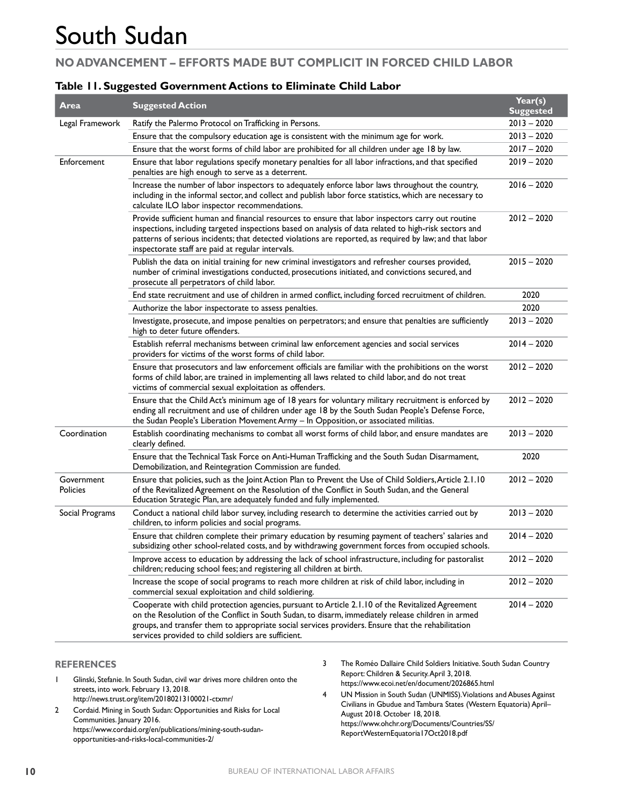### **NO ADVANCEMENT – EFFORTS MADE BUT COMPLICIT IN FORCED CHILD LABOR**

#### **Table 11. Suggested Government Actions to Eliminate Child Labor**

| Area                          | <b>Suggested Action</b>                                                                                                                                                                                                                                                                                                                                                       | Year(s)<br><b>Suggested</b> |
|-------------------------------|-------------------------------------------------------------------------------------------------------------------------------------------------------------------------------------------------------------------------------------------------------------------------------------------------------------------------------------------------------------------------------|-----------------------------|
| Legal Framework               | Ratify the Palermo Protocol on Trafficking in Persons.                                                                                                                                                                                                                                                                                                                        | $2013 - 2020$               |
|                               | Ensure that the compulsory education age is consistent with the minimum age for work.                                                                                                                                                                                                                                                                                         | $2013 - 2020$               |
|                               | Ensure that the worst forms of child labor are prohibited for all children under age 18 by law.                                                                                                                                                                                                                                                                               | $2017 - 2020$               |
| Enforcement                   | Ensure that labor regulations specify monetary penalties for all labor infractions, and that specified<br>penalties are high enough to serve as a deterrent.                                                                                                                                                                                                                  | $2019 - 2020$               |
|                               | Increase the number of labor inspectors to adequately enforce labor laws throughout the country,<br>including in the informal sector, and collect and publish labor force statistics, which are necessary to<br>calculate ILO labor inspector recommendations.                                                                                                                | $2016 - 2020$               |
|                               | Provide sufficient human and financial resources to ensure that labor inspectors carry out routine<br>inspections, including targeted inspections based on analysis of data related to high-risk sectors and<br>patterns of serious incidents; that detected violations are reported, as required by law; and that labor<br>inspectorate staff are paid at regular intervals. | $2012 - 2020$               |
|                               | Publish the data on initial training for new criminal investigators and refresher courses provided,<br>number of criminal investigations conducted, prosecutions initiated, and convictions secured, and<br>prosecute all perpetrators of child labor.                                                                                                                        | $2015 - 2020$               |
|                               | End state recruitment and use of children in armed conflict, including forced recruitment of children.                                                                                                                                                                                                                                                                        | 2020                        |
|                               | Authorize the labor inspectorate to assess penalties.                                                                                                                                                                                                                                                                                                                         | 2020                        |
|                               | Investigate, prosecute, and impose penalties on perpetrators; and ensure that penalties are sufficiently<br>high to deter future offenders.                                                                                                                                                                                                                                   | $2013 - 2020$               |
|                               | Establish referral mechanisms between criminal law enforcement agencies and social services<br>providers for victims of the worst forms of child labor.                                                                                                                                                                                                                       | $2014 - 2020$               |
|                               | Ensure that prosecutors and law enforcement officials are familiar with the prohibitions on the worst<br>forms of child labor, are trained in implementing all laws related to child labor, and do not treat<br>victims of commercial sexual exploitation as offenders.                                                                                                       | $2012 - 2020$               |
|                               | Ensure that the Child Act's minimum age of 18 years for voluntary military recruitment is enforced by<br>ending all recruitment and use of children under age 18 by the South Sudan People's Defense Force,<br>the Sudan People's Liberation Movement Army - In Opposition, or associated militias.                                                                           | $2012 - 2020$               |
| Coordination                  | Establish coordinating mechanisms to combat all worst forms of child labor, and ensure mandates are<br>clearly defined.                                                                                                                                                                                                                                                       | $2013 - 2020$               |
|                               | Ensure that the Technical Task Force on Anti-Human Trafficking and the South Sudan Disarmament,<br>Demobilization, and Reintegration Commission are funded.                                                                                                                                                                                                                   | 2020                        |
| Government<br><b>Policies</b> | Ensure that policies, such as the Joint Action Plan to Prevent the Use of Child Soldiers, Article 2.1.10<br>of the Revitalized Agreement on the Resolution of the Conflict in South Sudan, and the General<br>Education Strategic Plan, are adequately funded and fully implemented.                                                                                          | $2012 - 2020$               |
| Social Programs               | Conduct a national child labor survey, including research to determine the activities carried out by<br>children, to inform policies and social programs.                                                                                                                                                                                                                     | $2013 - 2020$               |
|                               | Ensure that children complete their primary education by resuming payment of teachers' salaries and<br>subsidizing other school-related costs, and by withdrawing government forces from occupied schools.                                                                                                                                                                    | $2014 - 2020$               |
|                               | Improve access to education by addressing the lack of school infrastructure, including for pastoralist<br>children; reducing school fees; and registering all children at birth.                                                                                                                                                                                              | $2012 - 2020$               |
|                               | Increase the scope of social programs to reach more children at risk of child labor, including in<br>commercial sexual exploitation and child soldiering.                                                                                                                                                                                                                     | $2012 - 2020$               |
|                               | Cooperate with child protection agencies, pursuant to Article 2.1.10 of the Revitalized Agreement<br>on the Resolution of the Conflict in South Sudan, to disarm, immediately release children in armed<br>groups, and transfer them to appropriate social services providers. Ensure that the rehabilitation<br>services provided to child soldiers are sufficient.          | $2014 - 2020$               |

#### **REFERENCES**

- 1 Glinski, Stefanie. In South Sudan, civil war drives more children onto the streets, into work. February 13, 2018. <http://news.trust.org/item/20180213100021-ctxmr/>
- 2 Cordaid. Mining in South Sudan: Opportunities and Risks for Local Communities. January 2016. [https://www.cordaid.org/en/publications/mining-south-sudan](https://www.cordaid.org/en/publications/mining-south-sudan-opportunities-and-risks-local-communities-2/)[opportunities-and-risks-local-communities-2/](https://www.cordaid.org/en/publications/mining-south-sudan-opportunities-and-risks-local-communities-2/)
- 3 The Roméo Dallaire Child Soldiers Initiative. South Sudan Country Report: Children & Security. April 3, 2018. <https://www.ecoi.net/en/document/2026865.html>
- 4 UN Mission in South Sudan (UNMISS). Violations and Abuses Against Civilians in Gbudue and Tambura States (Western Equatoria) April– August 2018. October 18, 2018. [https://www.ohchr.org/Documents/Countries/SS/](https://www.ohchr.org/Documents/Countries/SS/ReportWesternEquatoria17Oct2018.pdf) [ReportWesternEquatoria17Oct2018.pdf](https://www.ohchr.org/Documents/Countries/SS/ReportWesternEquatoria17Oct2018.pdf)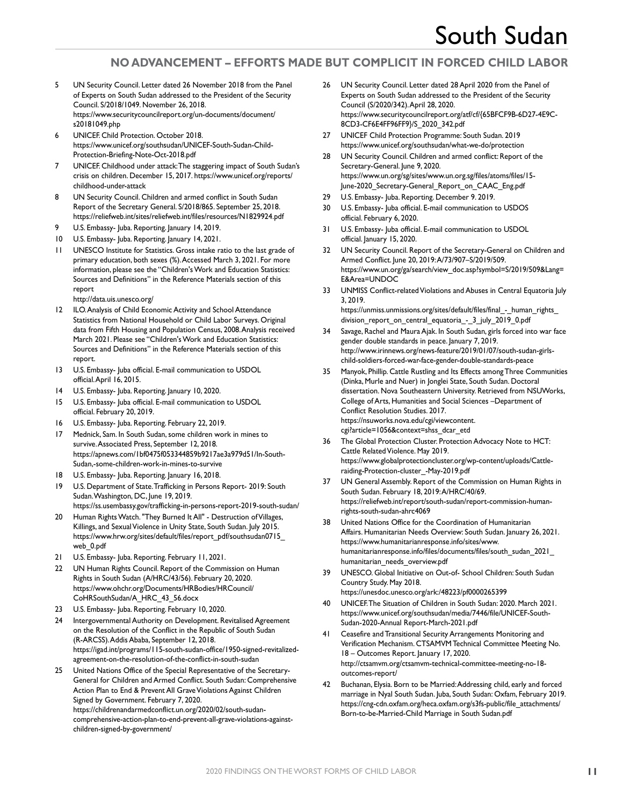## **NO ADVANCEMENT – EFFORTS MADE BUT COMPLICIT IN FORCED CHILD LABOR**

- 5 UN Security Council. Letter dated 26 November 2018 from the Panel of Experts on South Sudan addressed to the President of the Security Council. S/2018/1049. November 26, 2018. [https://www.securitycouncilreport.org/un-documents/document/](https://www.securitycouncilreport.org/un-documents/document/s20181049.php) [s20181049.php](https://www.securitycouncilreport.org/un-documents/document/s20181049.php)
- 6 UNICEF. Child Protection. October 2018. [https://www.unicef.org/southsudan/UNICEF-South-Sudan-Child-](https://www.unicef.org/southsudan/UNICEF-South-Sudan-Child-Protection-Briefing-Note-Oct-2018.pdf)[Protection-Briefing-Note-Oct-2018.pdf](https://www.unicef.org/southsudan/UNICEF-South-Sudan-Child-Protection-Briefing-Note-Oct-2018.pdf)
- UNICEF. Childhood under attack: The staggering impact of South Sudan's crisis on children. December 15, 2017. [https://www.unicef.org/reports/](https://www.unicef.org/reports/childhood-under-attack) [childhood-under-attack](https://www.unicef.org/reports/childhood-under-attack)
- 8 UN Security Council. Children and armed conflict in South Sudan Report of the Secretary General. S/2018/865. September 25, 2018. <https://reliefweb.int/sites/reliefweb.int/files/resources/N1829924.pdf>
- 9 U.S. Embassy- Juba. Reporting. January 14, 2019.
- 10 U.S. Embassy- Juba. Reporting. January 14, 2021.
- 11 UNESCO Institute for Statistics. Gross intake ratio to the last grade of primary education, both sexes (%). Accessed March 3, 2021. For more information, please see the "Children's Work and Education Statistics: Sources and Definitions" in the Reference Materials section of this report
	- <http://data.uis.unesco.org/>
- 12 ILO. Analysis of Child Economic Activity and School Attendance Statistics from National Household or Child Labor Surveys. Original data from Fifth Housing and Population Census, 2008. Analysis received March 2021. Please see "Children's Work and Education Statistics: Sources and Definitions" in the Reference Materials section of this report.
- 13 U.S. Embassy- Juba official. E-mail communication to USDOL official. April 16, 2015.
- 14 U.S. Embassy- Juba. Reporting. January 10, 2020.
- 15 U.S. Embassy- Juba official. E-mail communication to USDOL official. February 20, 2019.
- 16 U.S. Embassy- Juba. Reporting. February 22, 2019.
- 17 Mednick, Sam. In South Sudan, some children work in mines to survive. Associated Press, September 12, 2018. [https://apnews.com/1bf0475f053344859b9217ae3a979d51/In-South-](https://apnews.com/1bf0475f053344859b9217ae3a979d51/In-South-Sudan,-some-children-work-in-mines-to-survive)[Sudan,-some-children-work-in-mines-to-survive](https://apnews.com/1bf0475f053344859b9217ae3a979d51/In-South-Sudan,-some-children-work-in-mines-to-survive)
- 18 U.S. Embassy- Juba. Reporting. January 16, 2018.
- 19 U.S. Department of State. Trafficking in Persons Report- 2019: South Sudan. Washington, DC, June 19, 2019.
	- <https://ss.usembassy.gov/trafficking-in-persons-report-2019-south-sudan/>
- 20 Human Rights Watch. "They Burned It All" Destruction of Villages, Killings, and Sexual Violence in Unity State, South Sudan. July 2015. [https://www.hrw.org/sites/default/files/report\\_pdf/southsudan0715\\_](https://www.hrw.org/sites/default/files/report_pdf/southsudan0715_web_0.pdf) [web\\_0.pdf](https://www.hrw.org/sites/default/files/report_pdf/southsudan0715_web_0.pdf)
- 21 U.S. Embassy- Juba. Reporting. February 11, 2021.
- 22 UN Human Rights Council. Report of the Commission on Human Rights in South Sudan (A/HRC/43/56). February 20, 2020. [https://www.ohchr.org/Documents/HRBodies/HRCouncil/](https://www.ohchr.org/Documents/HRBodies/HRCouncil/CoHRSouthSudan/A_HRC_43_56.docx) [CoHRSouthSudan/A\\_HRC\\_43\\_56.docx](https://www.ohchr.org/Documents/HRBodies/HRCouncil/CoHRSouthSudan/A_HRC_43_56.docx)
- 23 U.S. Embassy- Juba. Reporting. February 10, 2020.
- 24 Intergovernmental Authority on Development. Revitalised Agreement on the Resolution of the Conflict in the Republic of South Sudan (R-ARCSS). Addis Ababa, September 12, 2018. [https://igad.int/programs/115-south-sudan-office/1950-signed-revitalized](https://igad.int/programs/115-south-sudan-office/1950-signed-revitalized-agreement-on-the-resolution-of-the-conflict-in-south-sudan)[agreement-on-the-resolution-of-the-conflict-in-south-sudan](https://igad.int/programs/115-south-sudan-office/1950-signed-revitalized-agreement-on-the-resolution-of-the-conflict-in-south-sudan)
- United Nations Office of the Special Representative of the Secretary-General for Children and Armed Conflict. South Sudan: Comprehensive Action Plan to End & Prevent All Grave Violations Against Children Signed by Government. February 7, 2020. [https://childrenandarmedconflict.un.org/2020/02/south-sudan](https://childrenandarmedconflict.un.org/2020/02/south-sudan-comprehensive-action-plan-to-end-prevent-all-grave-violations-against-children-signed-by-government/)[comprehensive-action-plan-to-end-prevent-all-grave-violations-against](https://childrenandarmedconflict.un.org/2020/02/south-sudan-comprehensive-action-plan-to-end-prevent-all-grave-violations-against-children-signed-by-government/)[children-signed-by-government/](https://childrenandarmedconflict.un.org/2020/02/south-sudan-comprehensive-action-plan-to-end-prevent-all-grave-violations-against-children-signed-by-government/)
- 26 UN Security Council. Letter dated 28 April 2020 from the Panel of Experts on South Sudan addressed to the President of the Security Council (S/2020/342). April 28, 2020. [https://www.securitycouncilreport.org/atf/cf/{65BFCF9B-6D27-4E9C-](https://www.securitycouncilreport.org/atf/cf/%7B65BFCF9B-6D27-4E9C-8CD3-CF6E4FF96FF9%7D/S_2020_342.pdf)[8CD3-CF6E4FF96FF9}/S\\_2020\\_342.pdf](https://www.securitycouncilreport.org/atf/cf/%7B65BFCF9B-6D27-4E9C-8CD3-CF6E4FF96FF9%7D/S_2020_342.pdf)
- 27 UNICEF Child Protection Programme: South Sudan. 2019 <https://www.unicef.org/southsudan/what-we-do/protection>
- 28 UN Security Council. Children and armed conflict: Report of the Secretary-General. June 9, 2020. [https://www.un.org/sg/sites/www.un.org.sg/files/atoms/files/15-](https://www.un.org/sg/sites/www.un.org.sg/files/atoms/files/15-June-2020_Secretary-General_Report_on_CAAC_Eng.pdf) [June-2020\\_Secretary-General\\_Report\\_on\\_CAAC\\_Eng.pdf](https://www.un.org/sg/sites/www.un.org.sg/files/atoms/files/15-June-2020_Secretary-General_Report_on_CAAC_Eng.pdf)
- 29 U.S. Embassy- Juba. Reporting. December 9. 2019.
- 30 U.S. Embassy- Juba official. E-mail communication to USDOS official. February 6, 2020.
- 31 U.S. Embassy- Juba official. E-mail communication to USDOL official. January 15, 2020.
- 32 UN Security Council. Report of the Secretary-General on Children and Armed Conflict. June 20, 2019: A/73/907–S/2019/509. [https://www.un.org/ga/search/view\\_doc.asp?symbol=S/2019/509&Lang=](https://www.un.org/ga/search/view_doc.asp?symbol=S/2019/509&Lang=E&Area=UNDOC) [E&Area=UNDOC](https://www.un.org/ga/search/view_doc.asp?symbol=S/2019/509&Lang=E&Area=UNDOC)
- 33 UNMISS Conflict-related Violations and Abuses in Central Equatoria July 3, 2019. https://unmiss.unmissions.org/sites/default/files/final - human\_rights
- [division\\_report\\_on\\_central\\_equatoria\\_-\\_3\\_july\\_2019\\_0.pdf](https://unmiss.unmissions.org/sites/default/files/final_-_human_rights_division_report_on_central_equatoria_-_3_july_2019_0.pdf) 34 Savage, Rachel and Maura Ajak. In South Sudan, girls forced into war face gender double standards in peace. January 7, 2019. [http://www.irinnews.org/news-feature/2019/01/07/south-sudan-girls](http://www.irinnews.org/news-feature/2019/01/07/south-sudan-girls-child-soldiers-forced-war-face-gender-double-standards-peace)[child-soldiers-forced-war-face-gender-double-standards-peace](http://www.irinnews.org/news-feature/2019/01/07/south-sudan-girls-child-soldiers-forced-war-face-gender-double-standards-peace)
- 35 Manyok, Phillip. Cattle Rustling and Its Effects among Three Communities (Dinka, Murle and Nuer) in Jonglei State, South Sudan. Doctoral dissertation. Nova Southeastern University. Retrieved from NSUWorks, College of Arts, Humanities and Social Sciences –Department of Conflict Resolution Studies. 2017. [https://nsuworks.nova.edu/cgi/viewcontent.](https://nsuworks.nova.edu/cgi/viewcontent.cgi?article=1056&context=shss_dcar_etd) [cgi?article=1056&context=shss\\_dcar\\_etd](https://nsuworks.nova.edu/cgi/viewcontent.cgi?article=1056&context=shss_dcar_etd)
- 36 The Global Protection Cluster. Protection Advocacy Note to HCT: Cattle Related Violence. May 2019. [https://www.globalprotectioncluster.org/wp-content/uploads/Cattle](https://www.globalprotectioncluster.org/wp-content/uploads/Cattle-raiding-Protection-cluster_-May-2019.pdf)[raiding-Protection-cluster\\_-May-2019.pdf](https://www.globalprotectioncluster.org/wp-content/uploads/Cattle-raiding-Protection-cluster_-May-2019.pdf)
- 37 UN General Assembly. Report of the Commission on Human Rights in South Sudan. February 18, 2019: A/HRC/40/69. [https://reliefweb.int/report/south-sudan/report-commission-human](https://reliefweb.int/report/south-sudan/report-commission-human-rights-south-sudan-ahrc4069)[rights-south-sudan-ahrc4069](https://reliefweb.int/report/south-sudan/report-commission-human-rights-south-sudan-ahrc4069)
- 38 United Nations Office for the Coordination of Humanitarian Affairs. Humanitarian Needs Overview: South Sudan. January 26, 2021. [https://www.humanitarianresponse.info/sites/www.](https://www.humanitarianresponse.info/sites/www.humanitarianresponse.info/files/documents/files/south_sudan_2021_humanitarian_needs_overview.pdf) [humanitarianresponse.info/files/documents/files/south\\_sudan\\_2021\\_](https://www.humanitarianresponse.info/sites/www.humanitarianresponse.info/files/documents/files/south_sudan_2021_humanitarian_needs_overview.pdf) [humanitarian\\_needs\\_overview.pdf](https://www.humanitarianresponse.info/sites/www.humanitarianresponse.info/files/documents/files/south_sudan_2021_humanitarian_needs_overview.pdf)
- 39 UNESCO. Global Initiative on Out-of- School Children: South Sudan Country Study. May 2018. <https://unesdoc.unesco.org/ark:/48223/pf0000265399>
- 40 UNICEF. The Situation of Children in South Sudan: 2020. March 2021. [https://www.unicef.org/southsudan/media/7446/file/UNICEF-South-](https://www.unicef.org/southsudan/media/7446/file/UNICEF-South-Sudan-2020-Annual%20Report-March-2021.pdf)[Sudan-2020-Annual Report-March-2021.pdf](https://www.unicef.org/southsudan/media/7446/file/UNICEF-South-Sudan-2020-Annual%20Report-March-2021.pdf)
- 41 Ceasefire and Transitional Security Arrangements Monitoring and Verification Mechanism. CTSAMVM Technical Committee Meeting No. 18 – Outcomes Report. January 17, 2020. [http://ctsamvm.org/ctsamvm-technical-committee-meeting-no-18](http://ctsamvm.org/ctsamvm-technical-committee-meeting-no-18-outcomes-report/) [outcomes-report/](http://ctsamvm.org/ctsamvm-technical-committee-meeting-no-18-outcomes-report/)
- 42 Buchanan, Elysia. Born to be Married: Addressing child, early and forced marriage in Nyal South Sudan. Juba, South Sudan: Oxfam, February 2019. [https://cng-cdn.oxfam.org/heca.oxfam.org/s3fs-public/file\\_attachments/](https://cng-cdn.oxfam.org/heca.oxfam.org/s3fs-public/file_attachments/Born-to-be-Married-Child%20Marriage%20in%20South%20Sudan.pdf) [Born-to-be-Married-Child Marriage in South Sudan.pdf](https://cng-cdn.oxfam.org/heca.oxfam.org/s3fs-public/file_attachments/Born-to-be-Married-Child%20Marriage%20in%20South%20Sudan.pdf)